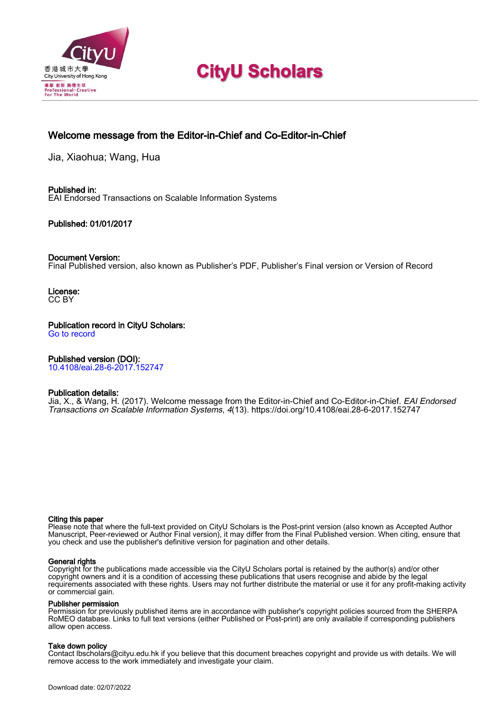

# **CityU Scholars**

## Welcome message from the Editor-in-Chief and Co-Editor-in-Chief

Jia, Xiaohua; Wang, Hua

Published in: EAI Endorsed Transactions on Scalable Information Systems

### Published: 01/01/2017

### Document Version:

Final Published version, also known as Publisher's PDF, Publisher's Final version or Version of Record

License: CC BY

Publication record in CityU Scholars: [Go to record](https://scholars.cityu.edu.hk/en/publications/welcome-message-from-the-editorinchief-and-coeditorinchief(2e14a995-0228-4dec-93d2-e847a8f95b6c).html)

### Published version (DOI):

[10.4108/eai.28-6-2017.152747](https://doi.org/10.4108/eai.28-6-2017.152747)

### Publication details:

[Jia, X.,](https://scholars.cityu.edu.hk/en/persons/xiaohua-jia(1c7937b1-03c9-4df8-994f-45e757464bb0).html) & Wang, H. (2017). [Welcome message from the Editor-in-Chief and Co-Editor-in-Chief.](https://scholars.cityu.edu.hk/en/publications/welcome-message-from-the-editorinchief-and-coeditorinchief(2e14a995-0228-4dec-93d2-e847a8f95b6c).html) [EAI Endorsed](https://scholars.cityu.edu.hk/en/journals/eai-endorsed-transactions-on-scalable-information-systems(9ae31f66-3df6-4df7-aa7f-f266e9543f13)/publications.html) [Transactions on Scalable Information Systems](https://scholars.cityu.edu.hk/en/journals/eai-endorsed-transactions-on-scalable-information-systems(9ae31f66-3df6-4df7-aa7f-f266e9543f13)/publications.html), 4(13).<https://doi.org/10.4108/eai.28-6-2017.152747>

#### Citing this paper

Please note that where the full-text provided on CityU Scholars is the Post-print version (also known as Accepted Author Manuscript, Peer-reviewed or Author Final version), it may differ from the Final Published version. When citing, ensure that you check and use the publisher's definitive version for pagination and other details.

#### General rights

Copyright for the publications made accessible via the CityU Scholars portal is retained by the author(s) and/or other copyright owners and it is a condition of accessing these publications that users recognise and abide by the legal requirements associated with these rights. Users may not further distribute the material or use it for any profit-making activity or commercial gain.

#### Publisher permission

Permission for previously published items are in accordance with publisher's copyright policies sourced from the SHERPA RoMEO database. Links to full text versions (either Published or Post-print) are only available if corresponding publishers allow open access.

#### Take down policy

Contact lbscholars@cityu.edu.hk if you believe that this document breaches copyright and provide us with details. We will remove access to the work immediately and investigate your claim.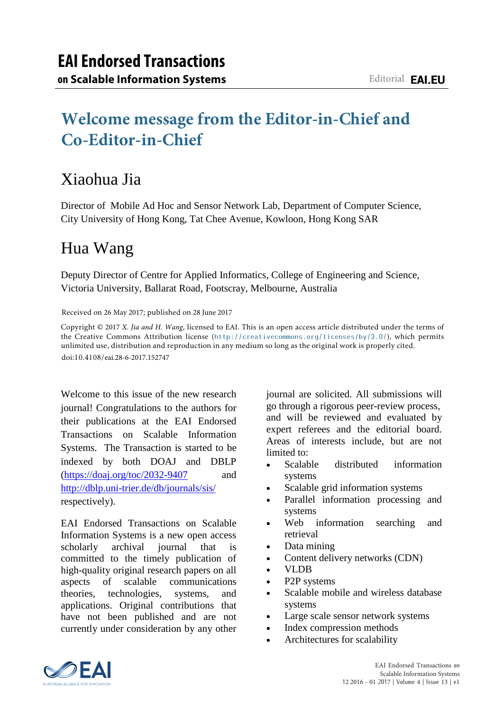# **Welcome message from the Editor-in-Chief and Co-Editor-in-Chief**

## Xiaohua Jia

Director of Mobile Ad Hoc and Sensor Network Lab, Department of Computer Science, City University of Hong Kong, Tat Chee Avenue, Kowloon, Hong Kong SAR

# Hua Wang

Deputy Director of Centre for Applied Informatics, College of Engineering and Science, Victoria University, Ballarat Road, Footscray, Melbourne, Australia

Received on 26 May 2017; published on 28 June 2017

Copyright © 2017 *X. Jia and H. Wang*, licensed to EAI. This is an open access article distributed under the terms of the Creative Commons Attribution license (http://creativecommons.org/licenses/by/3.0/), which permits unlimited use, distribution and reproduction in any medium so long as the original work is properly cited. doi:10.4108/eai.28-6-2017.152747

Welcome to this issue of the new research journal! Congratulations to the authors for their publications at the EAI Endorsed Transactions on Scalable Information Systems. The Transaction is started to be indexed by both DOAJ and DBLP  $(https://doai.org/toc/2032-9407$  and <http://dblp.uni-trier.de/db/journals/sis/> respectively).

EAI Endorsed Transactions on Scalable Information Systems is a new open access scholarly archival journal that is committed to the timely publication of high-quality original research papers on all aspects of scalable communications theories, technologies, systems, and applications. Original contributions that have not been published and are not currently under consideration by any other journal are solicited. All submissions will go through a rigorous peer-review process, and will be reviewed and evaluated by expert referees and the editorial board. Areas of interests include, but are not limited to:

- Scalable distributed information systems
- Scalable grid information systems
- Parallel information processing and systems
- Web information searching and retrieval
- Data mining
- Content delivery networks (CDN)
- VLDB
- P2P systems
- Scalable mobile and wireless database systems
- Large scale sensor network systems
- Index compression methods
- Architectures for scalability

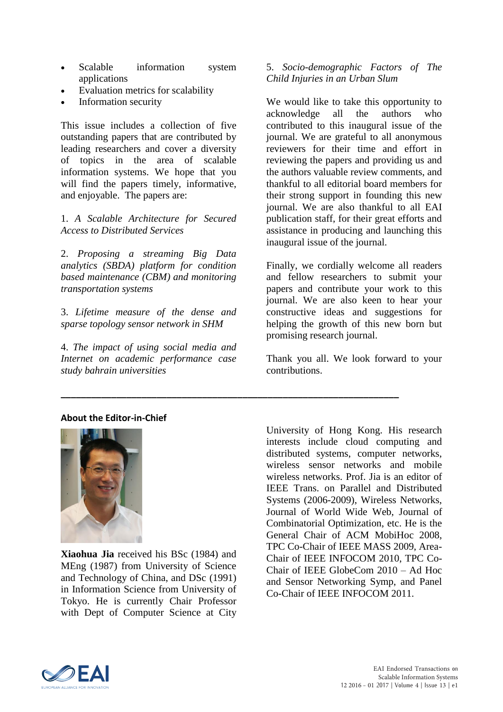- Scalable information system applications
- Evaluation metrics for scalability
- Information security

This issue includes a collection of five outstanding papers that are contributed by leading researchers and cover a diversity of topics in the area of scalable information systems. We hope that you will find the papers timely, informative, and enjoyable. The papers are:

## 1. *A Scalable Architecture for Secured Access to Distributed Services*

2. *Proposing a streaming Big Data analytics (SBDA) platform for condition based maintenance (CBM) and monitoring transportation systems* 

3. *Lifetime measure of the dense and sparse topology sensor network in SHM* 

4. *The impact of using social media and Internet on academic performance case study bahrain universities*

**\_\_\_\_\_\_\_\_\_\_\_\_\_\_\_\_\_\_\_\_\_\_\_\_\_\_\_\_\_\_\_\_\_\_\_\_\_\_\_\_\_\_\_\_\_\_\_\_\_\_\_\_\_\_\_\_\_\_\_\_\_\_\_\_\_\_\_**

## 5. *Socio-demographic Factors of The Child Injuries in an Urban Slum*

We would like to take this opportunity to acknowledge all the authors who contributed to this inaugural issue of the journal. We are grateful to all anonymous reviewers for their time and effort in reviewing the papers and providing us and the authors valuable review comments, and thankful to all editorial board members for their strong support in founding this new journal. We are also thankful to all EAI publication staff, for their great efforts and assistance in producing and launching this inaugural issue of the journal.

Finally, we cordially welcome all readers and fellow researchers to submit your papers and contribute your work to this journal. We are also keen to hear your constructive ideas and suggestions for helping the growth of this new born but promising research journal.

Thank you all. We look forward to your contributions.

## **About the Editor-in-Chief**



**Xiaohua Jia** received his BSc (1984) and MEng (1987) from University of Science and Technology of China, and DSc (1991) in Information Science from University of Tokyo. He is currently Chair Professor with Dept of Computer Science at City University of Hong Kong. His research interests include cloud computing and distributed systems, computer networks, wireless sensor networks and mobile wireless networks. Prof. Jia is an editor of IEEE Trans. on Parallel and Distributed Systems (2006-2009), Wireless Networks, Journal of World Wide Web, Journal of Combinatorial Optimization, etc. He is the General Chair of ACM MobiHoc 2008, TPC Co-Chair of IEEE MASS 2009, Area-Chair of IEEE INFOCOM 2010, TPC Co-Chair of IEEE GlobeCom 2010 – Ad Hoc and Sensor Networking Symp, and Panel Co-Chair of IEEE INFOCOM 2011.